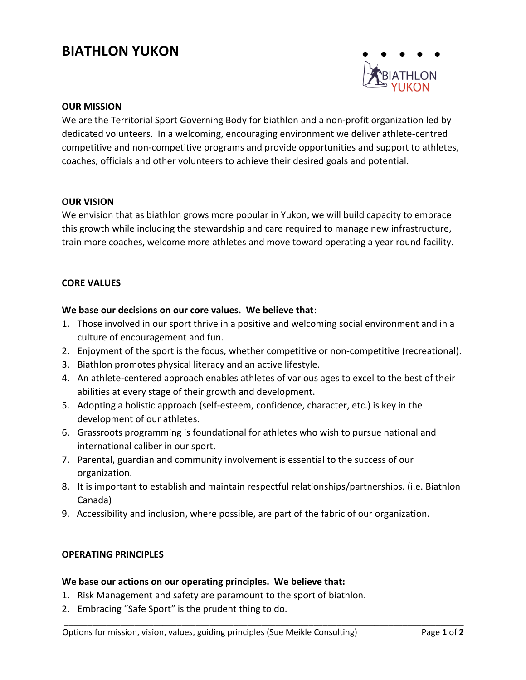# **BIATHLON YUKON**



## **OUR MISSION**

We are the Territorial Sport Governing Body for biathlon and a non-profit organization led by dedicated volunteers. In a welcoming, encouraging environment we deliver athlete-centred competitive and non-competitive programs and provide opportunities and support to athletes, coaches, officials and other volunteers to achieve their desired goals and potential.

## **OUR VISION**

We envision that as biathlon grows more popular in Yukon, we will build capacity to embrace this growth while including the stewardship and care required to manage new infrastructure, train more coaches, welcome more athletes and move toward operating a year round facility.

## **CORE VALUES**

## **We base our decisions on our core values. We believe that**:

- 1. Those involved in our sport thrive in a positive and welcoming social environment and in a culture of encouragement and fun.
- 2. Enjoyment of the sport is the focus, whether competitive or non-competitive (recreational).
- 3. Biathlon promotes physical literacy and an active lifestyle.
- 4. An athlete-centered approach enables athletes of various ages to excel to the best of their abilities at every stage of their growth and development.
- 5. Adopting a holistic approach (self-esteem, confidence, character, etc.) is key in the development of our athletes.
- 6. Grassroots programming is foundational for athletes who wish to pursue national and international caliber in our sport.
- 7. Parental, guardian and community involvement is essential to the success of our organization.
- 8. It is important to establish and maintain respectful relationships/partnerships. (i.e. Biathlon Canada)

\_\_\_\_\_\_\_\_\_\_\_\_\_\_\_\_\_\_\_\_\_\_\_\_\_\_\_\_\_\_\_\_\_\_\_\_\_\_\_\_\_\_\_\_\_\_\_\_\_\_\_\_\_\_\_\_\_\_\_\_\_\_\_\_\_\_\_\_\_\_\_\_\_\_\_\_\_\_\_\_\_\_\_\_\_

9. Accessibility and inclusion, where possible, are part of the fabric of our organization.

## **OPERATING PRINCIPLES**

## **We base our actions on our operating principles. We believe that:**

- 1. Risk Management and safety are paramount to the sport of biathlon.
- 2. Embracing "Safe Sport" is the prudent thing to do.